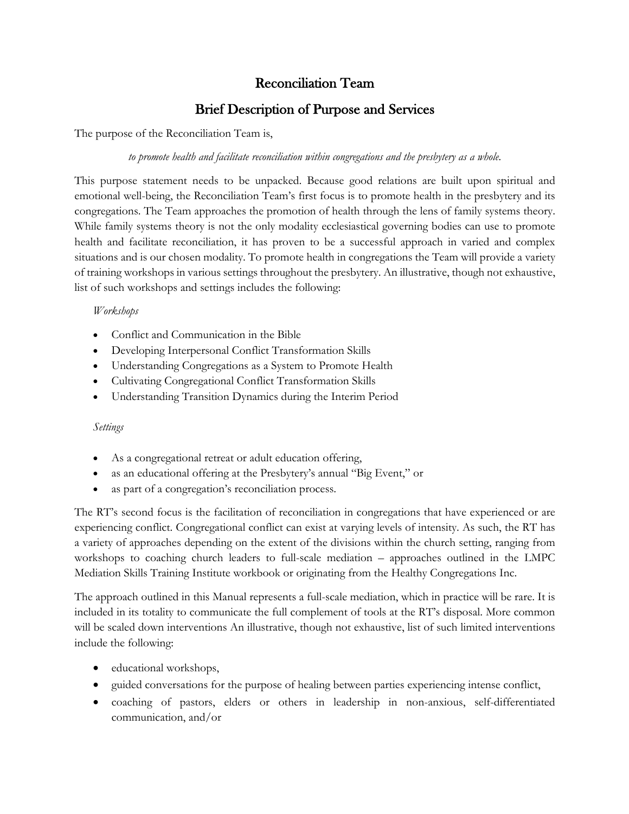## Reconciliation Team

# Brief Description of Purpose and Services

The purpose of the Reconciliation Team is,

### *to promote health and facilitate reconciliation within congregations and the presbytery as a whole.*

This purpose statement needs to be unpacked. Because good relations are built upon spiritual and emotional well-being, the Reconciliation Team's first focus is to promote health in the presbytery and its congregations. The Team approaches the promotion of health through the lens of family systems theory. While family systems theory is not the only modality ecclesiastical governing bodies can use to promote health and facilitate reconciliation, it has proven to be a successful approach in varied and complex situations and is our chosen modality. To promote health in congregations the Team will provide a variety of training workshops in various settings throughout the presbytery. An illustrative, though not exhaustive, list of such workshops and settings includes the following:

#### *Workshops*

- Conflict and Communication in the Bible
- Developing Interpersonal Conflict Transformation Skills
- Understanding Congregations as a System to Promote Health
- Cultivating Congregational Conflict Transformation Skills
- Understanding Transition Dynamics during the Interim Period

### *Settings*

- As a congregational retreat or adult education offering,
- as an educational offering at the Presbytery's annual "Big Event," or
- as part of a congregation's reconciliation process.

The RT's second focus is the facilitation of reconciliation in congregations that have experienced or are experiencing conflict. Congregational conflict can exist at varying levels of intensity. As such, the RT has a variety of approaches depending on the extent of the divisions within the church setting, ranging from workshops to coaching church leaders to full-scale mediation – approaches outlined in the LMPC Mediation Skills Training Institute workbook or originating from the Healthy Congregations Inc.

The approach outlined in this Manual represents a full-scale mediation, which in practice will be rare. It is included in its totality to communicate the full complement of tools at the RT's disposal. More common will be scaled down interventions An illustrative, though not exhaustive, list of such limited interventions include the following:

- educational workshops,
- guided conversations for the purpose of healing between parties experiencing intense conflict,
- coaching of pastors, elders or others in leadership in non-anxious, self-differentiated communication, and/or